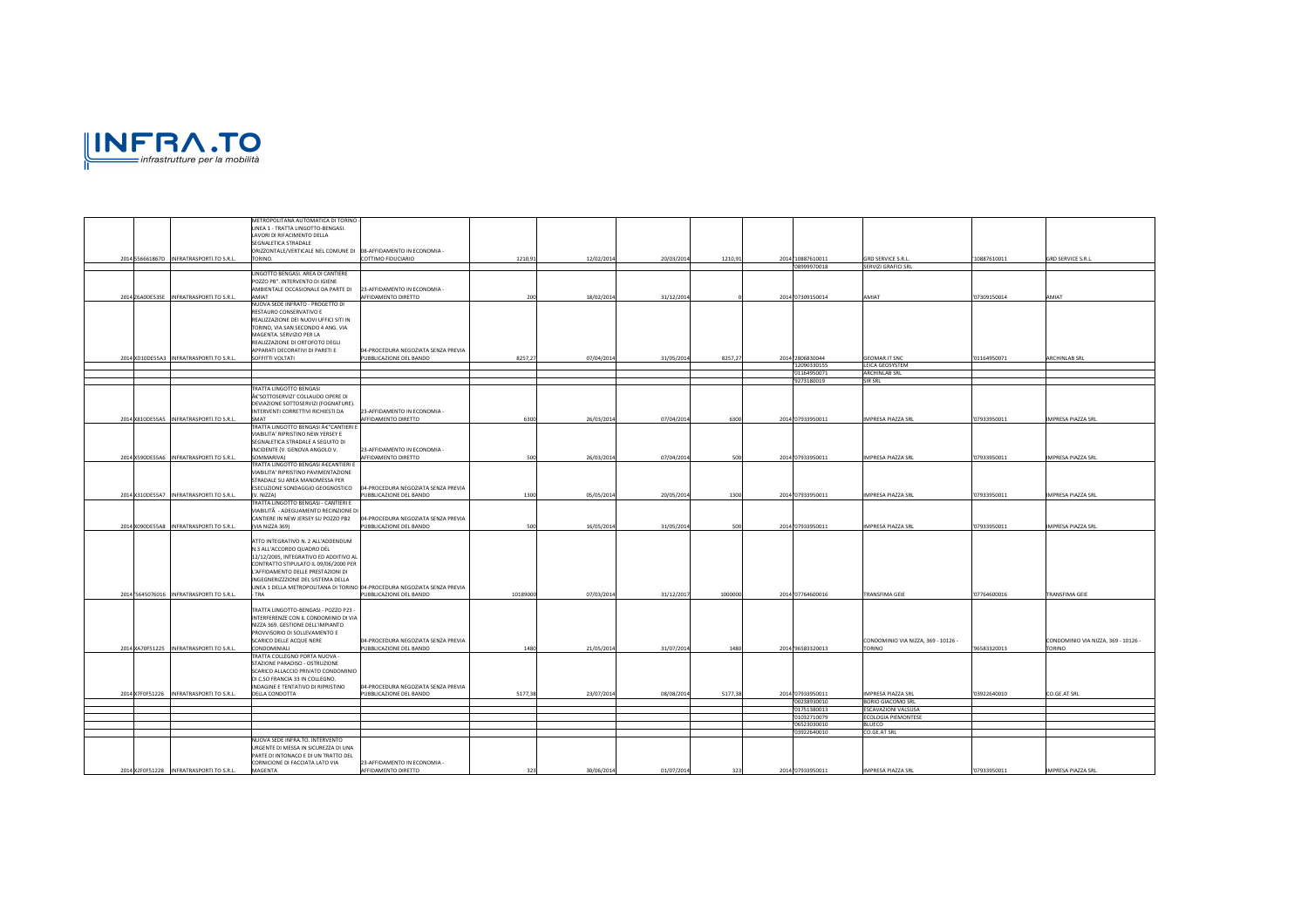

|                                           | METROPOLITANA AUTOMATICA DI TORINO-<br>LINEA 1 - TRATTA LINGOTTO-BENGASI.     |                                                                           |          |            |            |         |                            |                                                 |              |                                     |
|-------------------------------------------|-------------------------------------------------------------------------------|---------------------------------------------------------------------------|----------|------------|------------|---------|----------------------------|-------------------------------------------------|--------------|-------------------------------------|
|                                           | LAVORI DI RIFACIMENTO DELLA<br>SEGNALETICA STRADALE                           |                                                                           |          |            |            |         |                            |                                                 |              |                                     |
|                                           | ORIZZONTALE/VERTICALE NEL COMUNE DI 08-AFFIDAMENTO IN ECONOMIA -              |                                                                           |          |            |            |         |                            |                                                 |              |                                     |
| 2014 556661867D INFRATRASPORTI.TO S.R.L.  | TORINO.                                                                       | COTTIMO FIDUCIARIO                                                        | 1210,9   | 12/02/2014 | 20/03/2014 | 1210,91 | 2014 10887610011           | <b>GRD SERVICE S.R.L</b>                        | 10887610011  | GRD SERVICE S.R.L.                  |
|                                           | LINGOTTO BENGASI. AREA DI CANTIERE                                            |                                                                           |          |            |            |         | 08999970018                | SERVIZI GRAFICI SRL                             |              |                                     |
|                                           | POZZO PB". INTERVENTO DI IGIENE                                               |                                                                           |          |            |            |         |                            |                                                 |              |                                     |
| 2014 Z6A0DE535E INFRATRASPORTI.TO S.R.L.  | AMBIENTALE OCCASIONALE DA PARTE DI<br>AMIAT                                   | 23-AFFIDAMENTO IN ECONOMIA -<br>AFFIDAMENTO DIRETTO                       | 20       | 18/02/2014 | 31/12/2014 |         | 2014 '07309150014          | <b>AMIAT</b>                                    | 07309150014  | TAIMA                               |
|                                           | NUOVA SEDE INFRATO - PROGETTO DI                                              |                                                                           |          |            |            |         |                            |                                                 |              |                                     |
|                                           | RESTAURO CONSERVATIVO E                                                       |                                                                           |          |            |            |         |                            |                                                 |              |                                     |
|                                           | REALIZZAZIONE DEI NUOVI UFFICI SITI IN<br>TORINO, VIA SAN SECONDO 4 ANG. VIA  |                                                                           |          |            |            |         |                            |                                                 |              |                                     |
|                                           | MAGENTA. SERVIZIO PER LA                                                      |                                                                           |          |            |            |         |                            |                                                 |              |                                     |
|                                           | REALIZZAZIONE DI ORTOFOTO DEGLI<br>APPARATI DECORATIVI DI PARETI E            | 04-PROCEDURA NEGOZIATA SENZA PREVIA                                       |          |            |            |         |                            |                                                 |              |                                     |
| 2014 XD10DE55A3 INFRATRASPORTI.TO S.R.L.  | SOFFITTI VOLTATI                                                              | PUBBLICAZIONE DEL BANDO                                                   | 8257,21  | 07/04/2014 | 31/05/2014 | 8257,27 | 2014 2806830044            | <b>GEOMAR.IT SNC</b>                            | '01164950071 | ARCHINLAB SRL                       |
|                                           |                                                                               |                                                                           |          |            |            |         | 12090330155                | LEICA GEOSYSTEM                                 |              |                                     |
|                                           |                                                                               |                                                                           |          |            |            |         | 01164950071<br>'9273180019 | <b>ARCHINLAB SRL</b><br>SIR SRL                 |              |                                     |
|                                           | TRATTA LINGOTTO BENGASI                                                       |                                                                           |          |            |            |         |                            |                                                 |              |                                     |
|                                           | €'SOTTOSERVIZI' COLLAUDO OPERE DI<br>DEVIAZIONE SOTTOSERVIZI (FOGNATURE).     |                                                                           |          |            |            |         |                            |                                                 |              |                                     |
|                                           | INTERVENTI CORRETTIVI RICHIESTI DA                                            | 23-AFFIDAMENTO IN ECONOMIA -                                              |          |            |            |         |                            |                                                 |              |                                     |
| 2014 X810DE55A5 INFRATRASPORTI.TO S.R.L.  | SMAT                                                                          | AFFIDAMENTO DIRETTO                                                       | 6300     | 26/03/2014 | 07/04/2014 | 6300    | 2014 07933950011           | IMPRESA PIAZZA SRL                              | '07933950011 | IMPRESA PIAZZA SRL                  |
|                                           | TRATTA LINGOTTO BENGASI €"CANTIERI E<br>VIABILITA' RIPRISTINO NEW YERSEY E    |                                                                           |          |            |            |         |                            |                                                 |              |                                     |
|                                           | SEGNALETICA STRADALE A SEGUITO DI                                             |                                                                           |          |            |            |         |                            |                                                 |              |                                     |
| 2014 X590DE55A6 INFRATRASPORTI.TO S.R.L.  | INCIDENTE (V. GENOVA ANGOLO V.<br>SOMMARIVA)                                  | 23-AFFIDAMENTO IN ECONOMIA -<br>AFFIDAMENTO DIRETTO                       | 500      | 26/03/2014 | 07/04/2014 | 500     | 2014 '07933950011          | IMPRESA PIAZZA SRL                              | '07933950011 | <b>IMPRESA PIAZZA SRL</b>           |
|                                           | TRATTA LINGOTTO BENGASI €CANTIERI E                                           |                                                                           |          |            |            |         |                            |                                                 |              |                                     |
|                                           | VIABILITA' RIPRISTINO PAVIMENTAZIONE                                          |                                                                           |          |            |            |         |                            |                                                 |              |                                     |
|                                           | STRADALE SU AREA MANOMESSA PER<br>ESECUZIONE SONDAGGIO GEOGNOSTICO            | 04-PROCEDURA NEGOZIATA SENZA PREVIA                                       |          |            |            |         |                            |                                                 |              |                                     |
| 2014 X310DE55A7 INFRATRASPORTI.TO S.R.L.  | (V. NIZZA)                                                                    | PUBBLICAZIONE DEL BANDO                                                   | 1300     | 05/05/2014 | 20/05/2014 | 1300    | 2014 '07933950011          | IMPRESA PIAZZA SRL                              | '07933950011 | <b>IMPRESA PIAZZA SRL</b>           |
|                                           | TRATTA LINGOTTO BENGASI - CANTIERI E<br>VIABILITĂ - ADEGUAMENTO RECINZIONE DI |                                                                           |          |            |            |         |                            |                                                 |              |                                     |
|                                           | CANTIERE IN NEW JERSEY SU POZZO PB2                                           | 04-PROCEDURA NEGOZIATA SENZA PREVIA                                       |          |            |            |         |                            |                                                 |              |                                     |
| 2014 X090DE55A8 INFRATRASPORTI.TO S.R.L.  | (VIA NIZZA 369)                                                               | PUBBLICAZIONE DEL BANDO                                                   | 500      | 16/05/2014 | 31/05/2014 | 500     | 2014'07933950011           | <b>IMPRESA PIAZZA SRL</b>                       | '07933950011 | <b>IMPRESA PIAZZA SRL</b>           |
|                                           | ATTO INTEGRATIVO N. 2 ALL'ADDENDUM                                            |                                                                           |          |            |            |         |                            |                                                 |              |                                     |
|                                           | N.3 ALL'ACCORDO QUADRO DEL<br>12/12/2005, INTEGRATIVO ED ADDITIVO AI          |                                                                           |          |            |            |         |                            |                                                 |              |                                     |
|                                           | CONTRATTO STIPULATO IL 09/06/2000 PER                                         |                                                                           |          |            |            |         |                            |                                                 |              |                                     |
|                                           | L'AFFIDAMENTO DELLE PRESTAZIONI DI                                            |                                                                           |          |            |            |         |                            |                                                 |              |                                     |
|                                           | INGEGNERIZZZIONE DEL SISTEMA DELLA                                            | LINEA 1 DELLA METROPOLITANA DI TORINO 04-PROCEDURA NEGOZIATA SENZA PREVIA |          |            |            |         |                            |                                                 |              |                                     |
| 2014 '5645076016 INFRATRASPORTI.TO S.R.L. | TRA                                                                           | PUBBLICAZIONE DEL BANDO                                                   | 10189000 | 07/03/2014 | 31/12/2017 | 1000000 | 2014 '07764600016          | TRANSFIMA GEIE                                  | '07764600016 | TRANSFIMA GEIE                      |
|                                           | TRATTA LINGOTTO-BENGASI - POZZO P23 -                                         |                                                                           |          |            |            |         |                            |                                                 |              |                                     |
|                                           | INTERFERENZE CON IL CONDOMINIO DI VIA                                         |                                                                           |          |            |            |         |                            |                                                 |              |                                     |
|                                           | NIZZA 369. GESTIONE DELL'IMPIANTO<br>PROVVISORIO DI SOLLEVAMENTO E            |                                                                           |          |            |            |         |                            |                                                 |              |                                     |
|                                           | SCARICO DELLE ACQUE NERE                                                      | 04-PROCEDURA NEGOZIATA SENZA PREVIA                                       |          |            |            |         |                            | CONDOMINIO VIA NIZZA, 369 - 10126 -             |              | CONDOMINIO VIA NIZZA, 369 - 10126 - |
| 2014 XA70F51225 INFRATRASPORTI.TO S.R.L.  | CONDOMINIALI                                                                  | PUBBLICAZIONE DEL BANDO                                                   | 1480     | 21/05/2014 | 31/07/2014 | 1480    | 2014 96583320013           | <b>TORINO</b>                                   | '96583320013 | TORINO                              |
|                                           | TRATTA COLLEGNO PORTA NUOVA -<br>STAZIONE PARADISO - OSTRUZIONE               |                                                                           |          |            |            |         |                            |                                                 |              |                                     |
|                                           | SCARICO ALLACCIO PRIVATO CONDOMINIO                                           |                                                                           |          |            |            |         |                            |                                                 |              |                                     |
|                                           | DI C.SO FRANCIA 33 IN COLLEGNO.<br>INDAGINE E TENTATIVO DI RIPRISTINO         | 04-PROCEDURA NEGOZIATA SENZA PREVIA                                       |          |            |            |         |                            |                                                 |              |                                     |
| 2014 X7F0F51226 INFRATRASPORTI.TO S.R.L.  | DELLA CONDOTTA                                                                | PUBBLICAZIONE DEL BANDO                                                   | 5177,3   | 23/07/2014 | 08/08/2014 | 5177,38 | 2014 '07933950011          | IMPRESA PIAZZA SRL                              | '03922640010 | CO.GE.AT SRL                        |
|                                           |                                                                               |                                                                           |          |            |            |         | '00238930010<br>1751380013 | <b>BORIO GIACOMO SRL</b><br>ESCAVAZIONI VALSUSA |              |                                     |
|                                           |                                                                               |                                                                           |          |            |            |         | 01032710079                | <b>COLOGIA PIEMONTESE</b>                       |              |                                     |
|                                           |                                                                               |                                                                           |          |            |            |         | 06523030010                | LUECO                                           |              |                                     |
|                                           | NUOVA SEDE INFRA.TO. INTERVENTO                                               |                                                                           |          |            |            |         | 03922640010                | CO.GE.AT SRL                                    |              |                                     |
|                                           | URGENTE DI MESSA IN SICUREZZA DI UNA                                          |                                                                           |          |            |            |         |                            |                                                 |              |                                     |
|                                           | PARTE DI INTONACO E DI UN TRATTO DEL<br>CORNICIONE DI FACCIATA LATO VIA       | 23-AFFIDAMENTO IN ECONOMIA                                                |          |            |            |         |                            |                                                 |              |                                     |
| 2014 X2F0F51228 INFRATRASPORTI.TO S.R.L.  | MAGENTA                                                                       | AFFIDAMENTO DIRETTO                                                       | 323      | 30/06/2014 | 01/07/2014 | 323     | 2014 '07933950011          | IMPRESA PIAZZA SRL                              | '07933950011 | <b>IMPRESA PIAZZA SRL</b>           |
|                                           |                                                                               |                                                                           |          |            |            |         |                            |                                                 |              |                                     |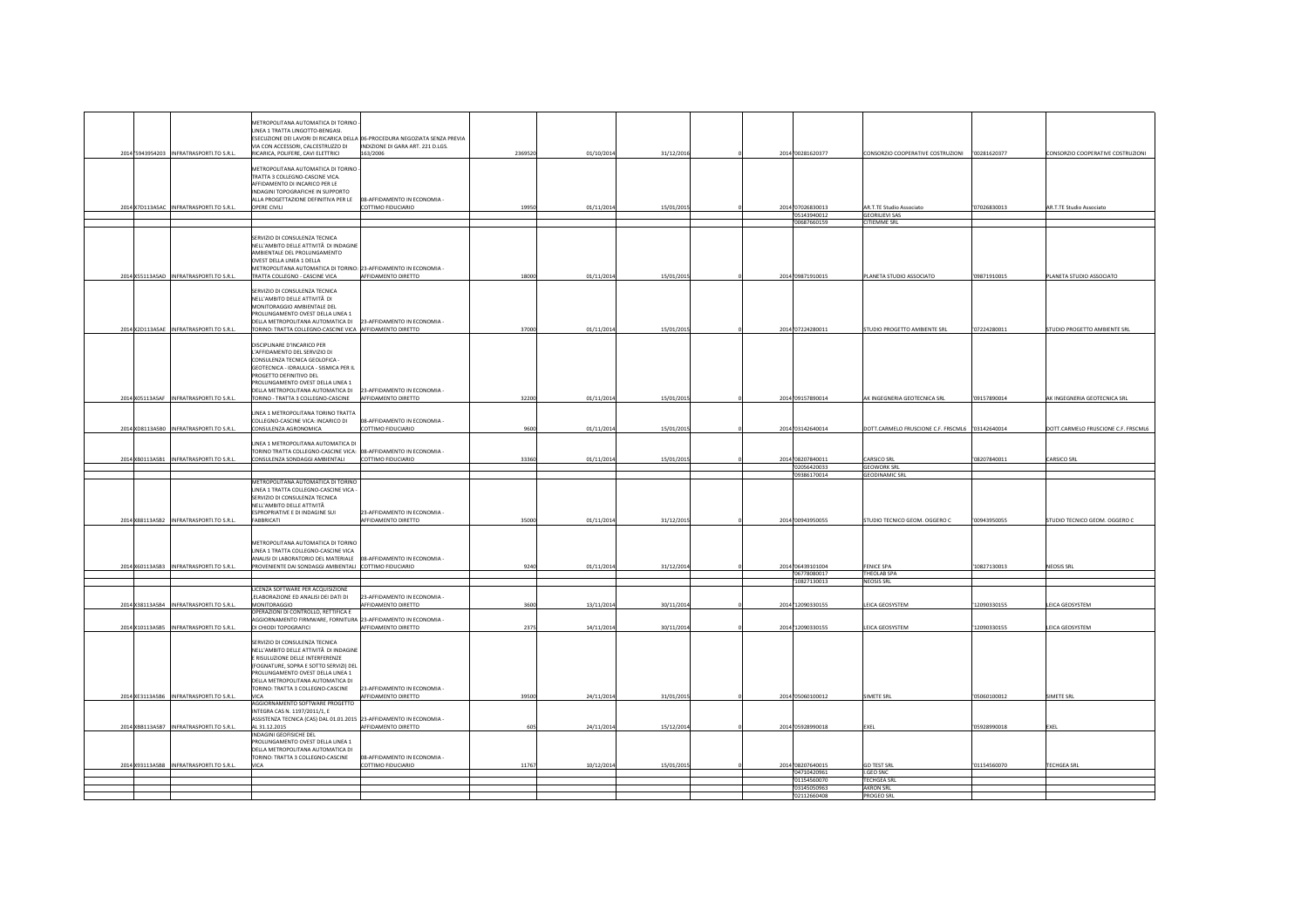|                                          | METROPOLITANA AUTOMATICA DI TORINO                                                                                          |                                                                             |         |            |            |                             |                                                 |              |                                     |
|------------------------------------------|-----------------------------------------------------------------------------------------------------------------------------|-----------------------------------------------------------------------------|---------|------------|------------|-----------------------------|-------------------------------------------------|--------------|-------------------------------------|
|                                          | <b>INFA 1 TRATTA LINGOTTO-RENGASL</b>                                                                                       |                                                                             |         |            |            |                             |                                                 |              |                                     |
|                                          |                                                                                                                             | ESECUZIONE DEI LAVORI DI RICARICA DELLA 06-PROCEDURA NEGOZIATA SENZA PREVIA |         |            |            |                             |                                                 |              |                                     |
|                                          | VIA CON ACCESSORI, CALCESTRUZZO DI                                                                                          | INDIZIONE DI GARA ART. 221 D.LGS.                                           |         |            |            |                             |                                                 |              |                                     |
| 2014 5943954203 INFRATRASPORTI.TO S.R.L. | RICARICA, POLIFERE, CAVI ELETTRICI                                                                                          | 163/2006                                                                    | 2369520 | 01/10/201  | 31/12/2016 | 2014 '00281620377           |                                                 |              | CONSORZIO COOPERATIVE COSTRUZIONI   |
|                                          |                                                                                                                             |                                                                             |         |            |            |                             |                                                 |              |                                     |
|                                          | METROPOLITANA AUTOMATICA DI TORINO                                                                                          |                                                                             |         |            |            |                             |                                                 |              |                                     |
|                                          | TRATTA 3 COLLEGNO-CASCINE VICA.                                                                                             |                                                                             |         |            |            |                             |                                                 |              |                                     |
|                                          | AFFIDAMENTO DI INCARICO PER LE                                                                                              |                                                                             |         |            |            |                             |                                                 |              |                                     |
|                                          | INDAGINI TOPOGRAFICHE IN SUPPORTO                                                                                           |                                                                             |         |            |            |                             |                                                 |              |                                     |
|                                          | ALLA PROGETTAZIONE DEFINITIVA PER LE                                                                                        | 08-AFFIDAMENTO IN ECONOMIA -                                                |         |            |            |                             |                                                 |              |                                     |
| 2014 X7D113A5AC INFRATRASPORTITO S.R.L.  | OPERE CIVILI                                                                                                                | COTTIMO FIDUCIARIO                                                          | 19950   | 01/11/201  | 15/01/2015 | 2014 07026830013            | AR.T.TE Studio Associato                        | 07026830013  | AR.T.TE Studio Associato            |
|                                          |                                                                                                                             |                                                                             |         |            |            | '05143940012<br>00687660159 | <b>GEORILIEVI SAS</b><br>CITIEMME SRL           |              |                                     |
|                                          |                                                                                                                             |                                                                             |         |            |            |                             |                                                 |              |                                     |
|                                          | SERVIZIO DI CONSULENZA TECNICA                                                                                              |                                                                             |         |            |            |                             |                                                 |              |                                     |
|                                          | NELL'AMBITO DELLE ATTIVITÀ DI INDAGINI                                                                                      |                                                                             |         |            |            |                             |                                                 |              |                                     |
|                                          | MBIENTALE DEL PROLUNGAMENTO                                                                                                 |                                                                             |         |            |            |                             |                                                 |              |                                     |
|                                          | OVEST DELLA LINEA 1 DELLA                                                                                                   |                                                                             |         |            |            |                             |                                                 |              |                                     |
|                                          | METROPOLITANA AUTOMATICA DI TORINO: 23-AFFIDAMENTO IN ECONOMIA -                                                            |                                                                             |         |            |            |                             |                                                 |              |                                     |
| 2014 X55113A5AD INFRATRASPORTI.TO S.R.L. | TRATTA COLLEGNO - CASCINE VICA                                                                                              | AFFIDAMENTO DIRETTO                                                         | 18000   | 01/11/201  | 15/01/2015 | 2014'09871910015            | PLANETA STUDIO ASSOCIATO                        | '09871910015 | PLANETA STUDIO ASSOCIATO            |
|                                          |                                                                                                                             |                                                                             |         |            |            |                             |                                                 |              |                                     |
|                                          | SERVIZIO DI CONSULENZA TECNICA                                                                                              |                                                                             |         |            |            |                             |                                                 |              |                                     |
|                                          | NELL'AMBITO DELLE ATTIVITÀ DI<br>MONITORAGGIO AMBIENTALE DEL                                                                |                                                                             |         |            |            |                             |                                                 |              |                                     |
|                                          | PROLUNGAMENTO OVEST DELLA LINEA 1                                                                                           |                                                                             |         |            |            |                             |                                                 |              |                                     |
|                                          | DELLA METROPOLITANA AUTOMATICA DI                                                                                           | 23-AFFIDAMENTO IN ECONOMIA -                                                |         |            |            |                             |                                                 |              |                                     |
| 2014 X2D113A5AE INFRATRASPORTI.TO S.R.L  | TORINO: TRATTA COLLEGNO-CASCINE VICA AFFIDAMENTO DIRETTO                                                                    |                                                                             | 37000   | 01/11/201  | 15/01/2015 | 2014 07224280011            | STUDIO PROGETTO AMBIENTE SRL                    | '07224280011 | STUDIO PROGETTO AMBIENTE SRL        |
|                                          |                                                                                                                             |                                                                             |         |            |            |                             |                                                 |              |                                     |
|                                          | DISCIPLINARE D'INCARICO PER                                                                                                 |                                                                             |         |            |            |                             |                                                 |              |                                     |
|                                          | L'AFFIDAMENTO DEL SERVIZIO DI                                                                                               |                                                                             |         |            |            |                             |                                                 |              |                                     |
|                                          | CONSULENZA TECNICA GEOLOFICA -                                                                                              |                                                                             |         |            |            |                             |                                                 |              |                                     |
|                                          | GEOTECNICA - IDRAULICA - SISMICA PER IL                                                                                     |                                                                             |         |            |            |                             |                                                 |              |                                     |
|                                          | PROGETTO DEFINITIVO DEL                                                                                                     |                                                                             |         |            |            |                             |                                                 |              |                                     |
|                                          | PROLUNGAMENTO OVEST DELLA LINEA 1                                                                                           |                                                                             |         |            |            |                             |                                                 |              |                                     |
|                                          | DELLA METROPOLITANA AUTOMATICA DI                                                                                           | 23-AFFIDAMENTO IN ECONOMIA -                                                |         |            |            |                             |                                                 |              |                                     |
| 2014 X05113A5AF INFRATRASPORTI.TO S.R.L. | TORINO - TRATTA 3 COLLEGNO-CASCINE                                                                                          | AFFIDAMENTO DIRETTO                                                         | 32200   | 01/11/201  | 15/01/2015 | 2014 '09157890014           | AK INGEGNERIA GEOTECNICA SRL                    | '09157890014 | AK INGEGNERIA GEOTECNICA SRL        |
|                                          |                                                                                                                             |                                                                             |         |            |            |                             |                                                 |              |                                     |
|                                          | INEA 1 METROPOLITANA TORINO TRATTA                                                                                          |                                                                             |         |            |            |                             |                                                 |              |                                     |
| 2014 XD8113A5B0 INFRATRASPORTI.TO S.R.L. | COLLEGNO-CASCINE VICA: INCARICO DI<br>CONSULENZA AGRONOMICA                                                                 | 08-AFFIDAMENTO IN ECONOMIA -<br>COTTIMO FIDUCIARIO                          | 9600    | 01/11/201  | 15/01/201  | 2014 03142640014            | DOTT.CARMELO FRUSCIONE C.F. FRSCML6 03142640014 |              | DOTT CARMELO FRUSCIONE C.F. FRSCML6 |
|                                          |                                                                                                                             |                                                                             |         |            |            |                             |                                                 |              |                                     |
|                                          | LINEA 1 METROPOLITANA AUTOMATICA DI                                                                                         |                                                                             |         |            |            |                             |                                                 |              |                                     |
|                                          | FORINO TRATTA COLLEGNO-CASCINE VICA: 08-AFFIDAMENTO IN ECONOMIA -                                                           |                                                                             |         |            |            |                             |                                                 |              |                                     |
| 2014 XB0113A5B1 INFRATRASPORTI.TO S.R.L. | CONSULENZA SONDAGGI AMBIENTALI                                                                                              | COTTIMO FIDUCIARIO                                                          | 33360   | 01/11/201  | 15/01/201  | 2014 '08207840011           | CARSICO SRL                                     | '08207840011 | CARSICO SRL                         |
|                                          |                                                                                                                             |                                                                             |         |            |            | '02056420033                | <b>GEOWORK SRL</b>                              |              |                                     |
|                                          |                                                                                                                             |                                                                             |         |            |            | 09386170014                 | <b>GEODINAMIC SRL</b>                           |              |                                     |
|                                          | METROPOLITANA AUTOMATICA DI TORINO                                                                                          |                                                                             |         |            |            |                             |                                                 |              |                                     |
|                                          | INEA 1 TRATTA COLLEGNO-CASCINE VICA                                                                                         |                                                                             |         |            |            |                             |                                                 |              |                                     |
|                                          | SERVIZIO DI CONSULENZA TECNICA                                                                                              |                                                                             |         |            |            |                             |                                                 |              |                                     |
|                                          | NELL'AMBITO DELLE ATTIVITÀ                                                                                                  |                                                                             |         |            |            |                             |                                                 |              |                                     |
|                                          | ESPROPRIATIVE E DI INDAGINE SUI                                                                                             | 23-AFFIDAMENTO IN ECONOMIA -                                                | 35000   |            |            |                             | STUDIO TECNICO GEOM. OGGERO C                   |              |                                     |
| 2014 X88113A5B2 INFRATRASPORTI.TO S.R.L. | <b>FABBRICATI</b>                                                                                                           | AFFIDAMENTO DIRETTO                                                         |         | 01/11/201  | 31/12/201  |                             |                                                 |              | STUDIO TECNICO GEOM. OGGERO C       |
|                                          |                                                                                                                             |                                                                             |         |            |            | 2014 '00943950055           |                                                 | '00943950055 |                                     |
|                                          |                                                                                                                             |                                                                             |         |            |            |                             |                                                 |              |                                     |
|                                          |                                                                                                                             |                                                                             |         |            |            |                             |                                                 |              |                                     |
|                                          | METROPOLITANA AUTOMATICA DI TORINO<br>LINEA 1 TRATTA COLLEGNO-CASCINE VICA                                                  |                                                                             |         |            |            |                             |                                                 |              |                                     |
|                                          |                                                                                                                             |                                                                             |         |            |            |                             |                                                 |              |                                     |
| 2014 X60113A5B3 INFRATRASPORTI.TO S.R.L. | ANALISI DI LABORATORIO DEL MATERIALE 08-AFFIDAMENTO IN ECONOMIA -<br>PROVENIENTE DAI SONDAGGI AMBIENTALI COTTIMO FIDUCIARIO |                                                                             | 9240    | 01/11/201  | 31/12/201  | 2014 '06439101004           | <b>FENICE SPA</b>                               | 10827130013  | <b>NEOSIS SRL</b>                   |
|                                          |                                                                                                                             |                                                                             |         |            |            | 106778080017                | THEOLAB SPA                                     |              |                                     |
|                                          |                                                                                                                             |                                                                             |         |            |            | 10827130013                 | <b>NEOSIS SRL</b>                               |              |                                     |
|                                          | ICENZA SOFTWARE PER ACQUISIZIONE                                                                                            |                                                                             |         |            |            |                             |                                                 |              |                                     |
|                                          | ELABORAZIONE ED ANALISI DEI DATI DI                                                                                         | 23-AFFIDAMENTO IN ECONOMIA -                                                |         |            |            |                             |                                                 |              |                                     |
| 2014 X38113A5B4 INFRATRASPORTI.TO S.R.L. | MONITORAGGIO                                                                                                                | AFFIDAMENTO DIRETTO                                                         | 3600    | 13/11/2014 | 30/11/2014 | 2014'12090330155            | LEICA GEOSYSTEM                                 | '12090330155 | EICA GEOSYSTEM                      |
|                                          | OPERAZIONI DI CONTROLLO, RETTIFICA E                                                                                        |                                                                             |         |            |            |                             |                                                 |              |                                     |
|                                          | AGGIORNAMENTO FIRMWARE, FORNITURA 23-AFFIDAMENTO IN ECONOMIA -                                                              |                                                                             |         |            |            |                             |                                                 |              |                                     |
| 2014 X10113A5B5 INFRATRASPORTI.TO S.R.L. | DI CHIODI TOPOGRAFICI                                                                                                       | AFFIDAMENTO DIRETTO                                                         | 2375    | 14/11/2014 | 30/11/2014 | 2014 12090330155            | LEICA GEOSYSTEM                                 | '12090330155 | EICA GEOSYSTEM                      |
|                                          | SERVIZIO DI CONSULENZA TECNICA                                                                                              |                                                                             |         |            |            |                             |                                                 |              |                                     |
|                                          | NELL'AMBITO DELLE ATTIVITÀ DI INDAGINI                                                                                      |                                                                             |         |            |            |                             |                                                 |              |                                     |
|                                          | RISULUZIONE DELLE INTERFERENZE                                                                                              |                                                                             |         |            |            |                             |                                                 |              |                                     |
|                                          | FOGNATURE, SOPRA E SOTTO SERVIZI) DEL                                                                                       |                                                                             |         |            |            |                             |                                                 |              |                                     |
|                                          | PROLUNGAMENTO OVEST DELLA LINEA 1                                                                                           |                                                                             |         |            |            |                             |                                                 |              |                                     |
|                                          | DELLA METROPOLITANA AUTOMATICA DI                                                                                           |                                                                             |         |            |            |                             |                                                 |              |                                     |
|                                          | FORINO: TRATTA 3 COLLEGNO-CASCINE                                                                                           | 23-AFFIDAMENTO IN ECONOMIA -                                                |         |            |            |                             |                                                 |              |                                     |
| 2014 XE3113A5B6 INFRATRASPORTI.TO S.R.L. | VICA                                                                                                                        | <b>IFFIDAMENTO DIRETTO</b>                                                  | 39500   | 24/11/2014 | 31/01/2015 | 2014 05060100012            | <b>SIMETE SRL</b>                               | 05060100012  | <b>SIMETE SRL</b>                   |
|                                          | AGGIORNAMENTO SOFTWARE PROGETTO                                                                                             |                                                                             |         |            |            |                             |                                                 |              |                                     |
|                                          | INTEGRA CAS N. 1197/2011/1, E                                                                                               |                                                                             |         |            |            |                             |                                                 |              |                                     |
|                                          | ASSISTENZA TECNICA (CAS) DAL 01.01.2015 23-AFFIDAMENTO IN ECONOMIA -                                                        |                                                                             |         |            |            |                             |                                                 |              |                                     |
| 2014 XBB113A5B7 INFRATRASPORTI.TO S.R.L  | AL 31.12.2015                                                                                                               | AFFIDAMENTO DIRETTO                                                         | 605     | 24/11/2014 | 15/12/2014 | 2014 '05928990018           | EXEL                                            | '05928990018 | <b>XEL</b>                          |
|                                          | NDAGINI GEOFISICHE DEL                                                                                                      |                                                                             |         |            |            |                             |                                                 |              |                                     |
|                                          | PROLUNGAMENTO OVEST DELLA LINEA 1<br>DELLA METROPOLITANA AUTOMATICA DI                                                      |                                                                             |         |            |            |                             |                                                 |              |                                     |
|                                          | TORINO: TRATTA 3 COLLEGNO-CASCINE                                                                                           | 08-AFFIDAMENTO IN ECONOMIA -                                                |         |            |            |                             |                                                 |              |                                     |
|                                          | <b>VICA</b>                                                                                                                 | <b>COTTIMO FIDUCIARIO</b>                                                   | 11767   | 10/12/2014 | 15/01/201  | 2014 08207640015            | <b>GD TEST SRL</b>                              | '01154560070 | <b>TECHGEA SRL</b>                  |
| 2014 X93113A5B8 INFRATRASPORTI.TO S.R.L  |                                                                                                                             |                                                                             |         |            |            | 04710420961                 | I.GEO SNC                                       |              |                                     |
|                                          |                                                                                                                             |                                                                             |         |            |            | 01154560070                 | <b>TECHGEA SRL</b>                              |              |                                     |
|                                          |                                                                                                                             |                                                                             |         |            |            | 3145050963<br>'02112660408  | AKRON SRL<br><b>PROGEO SRL</b>                  |              |                                     |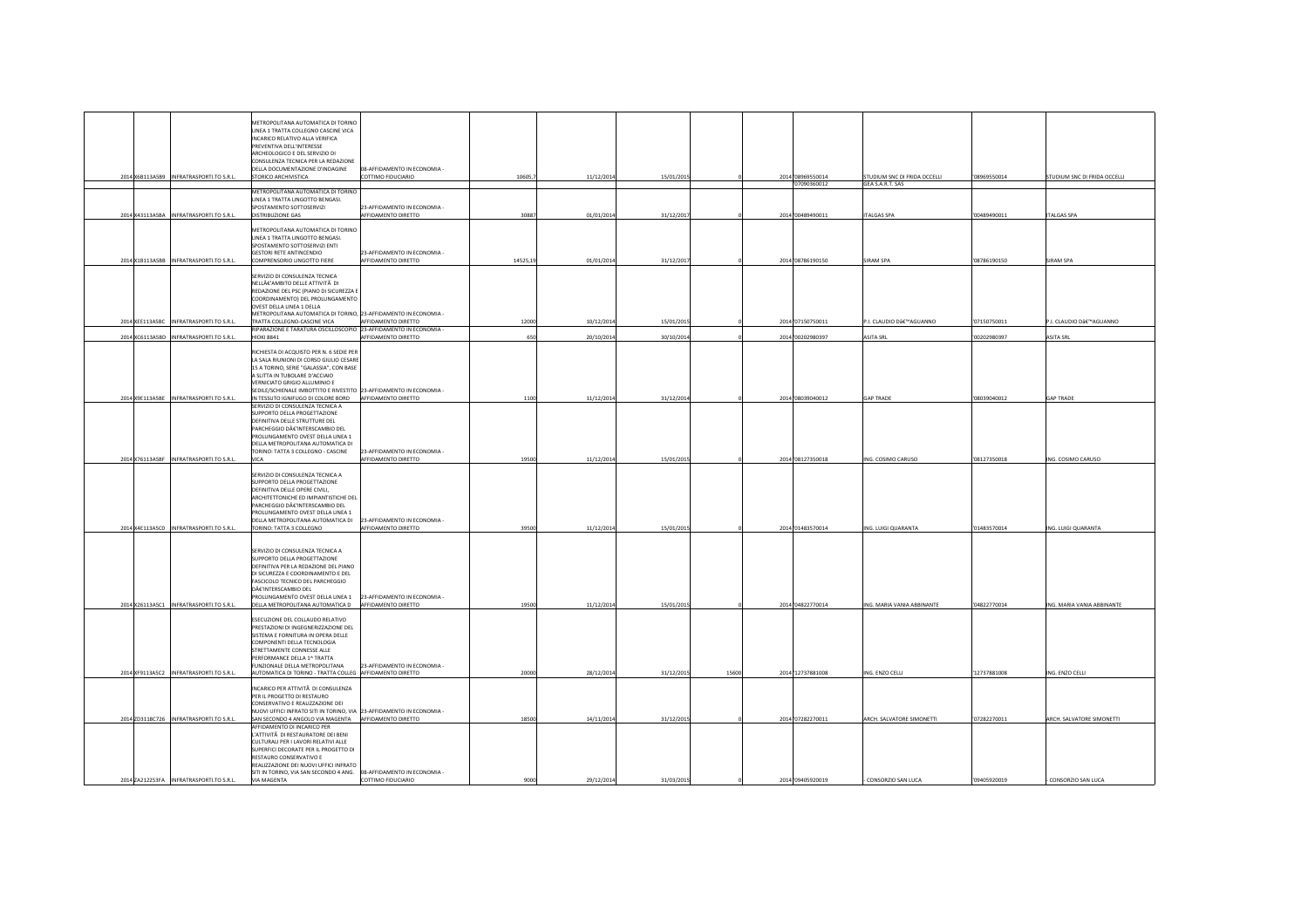|  | 2014 X6B113A5B9 INFRATRASPORTI.TO S.R.L. | METROPOLITANA AUTOMATICA DI TORINO<br>LINEA 1 TRATTA COLLEGNO CASCINE VICA<br>INCARICO RELATIVO ALLA VERIFICA<br>PREVENTIVA DELL'INTERESSE<br>ARCHEOLOGICO E DEL SERVIZIO DI<br>CONSULENZA TECNICA PER LA REDAZIONE<br>DELLA DOCUMENTAZIONE D'INDAGINE<br>STORICO ARCHIVISTICA                | 08-AFFIDAMENTO IN ECONOMIA -<br>COTTIMO FIDUCIARIO  | 10605,   | 11/12/201  | 15/01/2015 |       | 2014'08969550014  | STUDIUM SNC DI FRIDA OCCELLI | '08969550014 | STUDIUM SNC DI FRIDA OCCELLI |
|--|------------------------------------------|-----------------------------------------------------------------------------------------------------------------------------------------------------------------------------------------------------------------------------------------------------------------------------------------------|-----------------------------------------------------|----------|------------|------------|-------|-------------------|------------------------------|--------------|------------------------------|
|  |                                          |                                                                                                                                                                                                                                                                                               |                                                     |          |            |            |       | '07090360012      | GEA S.A.R.T. SAS             |              |                              |
|  |                                          | METROPOLITANA AUTOMATICA DI TORINO<br>LINEA 1 TRATTA LINGOTTO BENGASI.                                                                                                                                                                                                                        |                                                     |          |            |            |       |                   |                              |              |                              |
|  | 2014 X43113A5BA INFRATRASPORTI.TO S.R.L. | SPOSTAMENTO SOTTOSERVIZI<br>DISTRIBUZIONE GAS                                                                                                                                                                                                                                                 | 23-AFFIDAMENTO IN ECONOMIA -<br>AFFIDAMENTO DIRETTO | 3088     | 01/01/201  | 31/12/2017 |       | 2014 '00489490011 | <b>ITALGAS SPA</b>           | '00489490011 | TALGAS SPA                   |
|  |                                          |                                                                                                                                                                                                                                                                                               |                                                     |          |            |            |       |                   |                              |              |                              |
|  | 2014 X1B113A5BB INFRATRASPORTI.TO S.R.L. | METROPOLITANA AUTOMATICA DI TORINO<br>LINEA 1 TRATTA LINGOTTO BENGASI.<br>SPOSTAMENTO SOTTOSERVIZI ENTI<br><b>GESTORI RETE ANTINCENDIO</b><br>COMPRENSORIO LINGOTTO FIERE                                                                                                                     | 23-AFFIDAMENTO IN ECONOMIA<br>AFFIDAMENTO DIRETTO   | 14525,19 | 01/01/201  | 31/12/2017 |       | 2014'08786190150  | SIRAM SPA                    | '08786190150 | SIRAM SPA                    |
|  | 2014 XEE113A5BC INFRATRASPORTI.TO S.R.L. | SERVIZIO DI CONSULENZA TECNICA<br>NELL€'AMBITO DELLE ATTIVITà DI<br>REDAZIONE DEL PSC (PIANO DI SICUREZZA E<br>COORDINAMENTO) DEL PROLUNGAMENTO<br>OVEST DELLA LINEA 1 DELLA<br>METROPOLITANA AUTOMATICA DI TORINO, 23-AFFIDAMENTO IN ECONOMIA -<br>TRATTA COLLEGNO-CASCINE VICA              | AFFIDAMENTO DIRETTO                                 | 12000    | 10/12/201  | 15/01/2015 |       | 2014 '07150750011 | P.I. CLAUDIO D'AGUANNO       | '07150750011 | P.I. CLAUDIO D'AGUANNO       |
|  |                                          | RIPARAZIONE E TARATURA OSCILLOSCOPIO 23-AFFIDAMENTO IN ECONOMIA -                                                                                                                                                                                                                             |                                                     |          |            |            |       |                   |                              |              |                              |
|  | 2014 XC6113A5BD INFRATRASPORTI.TO S.R.L. | <b>HIOKI 8841</b><br>RICHIESTA DI ACQUISTO PER N. 6 SEDIE PER<br>LA SALA RIUNIONI DI CORSO GIULIO CESARE<br>15 A TORINO, SERIE "GALASSIA", CON BASE<br>A SLITTA IN TUBOLARE D'ACCIAIO<br>VERNICIATO GRIGIO ALLUMINIO E<br>SEDILE/SCHIENALE IMBOTTITO E RIVESTITO 23-AFFIDAMENTO IN ECONOMIA - | AFFIDAMENTO DIRETTO                                 | 650      | 20/10/201  | 30/10/2014 |       | 2014'00202980397  | <b>ASITA SRL</b>             | '00202980397 | <b>SITA SRL</b>              |
|  | 2014 X9E113A5BE INFRATRASPORTI.TO S.R.L. | IN TESSUTO IGNIFUGO DI COLORE BORD<br>SERVIZIO DI CONSULENZA TECNICA A                                                                                                                                                                                                                        | AFFIDAMENTO DIRETTO                                 | 1100     | 11/12/201  | 31/12/2014 |       | 2014 '08039040012 | <b>GAP TRADE</b>             | '08039040012 | <b>GAP TRADE</b>             |
|  | 2014 X76113A5BF INFRATRASPORTI.TO S.R.L. | SUPPORTO DELLA PROGETTAZIONE<br>DEFINITIVA DELLE STRUTTURE DEL<br>PARCHEGGIO D€'INTERSCAMBIO DEL<br>PROLUNGAMENTO OVEST DELLA LINEA 1<br>DELLA METROPOLITANA AUTOMATICA DI<br>TORINO: TATTA 3 COLLEGNO - CASCINE<br><b>VICA</b>                                                               | 23-AFFIDAMENTO IN ECONOMIA -<br>AFFIDAMENTO DIRETTO | 19500    | 11/12/201  | 15/01/2015 |       | 2014 08127350018  | ING. COSIMO CARUSO           | '08127350018 | ING. COSIMO CARUSO           |
|  |                                          | SERVIZIO DI CONSULENZA TECNICA A<br>SUPPORTO DELLA PROGETTAZIONE<br>DEFINITIVA DELLE OPERE CIVILL<br>ARCHITETTONICHE ED IMPIANTISTICHE DEL<br>PARCHEGGIO D€'INTERSCAMBIO DEL<br>PROLUNGAMENTO OVEST DELLA LINEA 1<br>DELLA METROPOLITANA AUTOMATICA DI                                        | 23-AFFIDAMENTO IN ECONOMIA -                        |          |            |            |       |                   |                              |              |                              |
|  | 2014 X4E113A5C0 INFRATRASPORTI.TO S.R.L. | TORINO: TATTA 3 COLLEGNO                                                                                                                                                                                                                                                                      | AFFIDAMENTO DIRETTO                                 | 3950     | 11/12/201  | 15/01/2015 |       | 2014 '01483570014 | ING. LUIGI QUARANTA          | '01483570014 | ING. LUIGI QUARANTA          |
|  | 2014 X26113A5C1 INFRATRASPORTI.TO S.R.L. | SERVIZIO DI CONSULENZA TECNICA A<br>SUPPORTO DELLA PROGETTAZIONE<br>DEFINITIVA PER LA REDAZIONE DEL PIANO<br>DI SICUREZZA E COORDINAMENTO E DEL<br>FASCICOLO TECNICO DEL PARCHEGGIO<br>D€'INTERSCAMBIO DEL<br>PROLUNGAMENTO OVEST DELLA LINEA 1<br>DELLA METROPOLITANA AUTOMATICA D           | 23-AFFIDAMENTO IN ECONOMIA -<br>AFFIDAMENTO DIRETTO | 19500    | 11/12/201  | 15/01/2015 |       | 2014 '04822770014 | ING. MARIA VANIA ABBINANTE   | '04822770014 | ING. MARIA VANIA ABBINANTE   |
|  |                                          | ESECUZIONE DEL COLLAUDO RELATIVO<br>PRESTAZIONI DI INGEGNERIZZAZIONE DEL<br>SISTEMA E FORNITURA IN OPERA DELLE<br>COMPONENTI DELLA TECNOLOGIA<br>STRETTAMENTE CONNESSE ALLE<br>PERFORMANCE DELLA 1^ TRATTA<br>FUNZIONALE DELLA METROPOLITANA                                                  | 23-AFFIDAMENTO IN ECONOMIA -                        |          |            |            |       |                   |                              |              |                              |
|  | 2014 XF9113A5C2 INFRATRASPORTI.TO S.R.L. | AUTOMATICA DI TORINO - TRATTA COLLEG AFFIDAMENTO DIRETTO                                                                                                                                                                                                                                      |                                                     | 20000    | 28/12/201  | 31/12/2015 | 15600 | 2014 12737881008  | ING. ENZO CELLI              | '12737881008 | ING. ENZO CELLI              |
|  | 2014 ZD3118C726 INFRATRASPORTI.TO S.R.L. | INCARICO PER ATTIVITĂ DI CONSULENZA<br>PER IL PROGETTO DI RESTAURO<br>CONSERVATIVO E REALIZZAZIONE DEI<br>NUOVI UFFICI INFRATO SITI IN TORINO, VIA 23-AFFIDAMENTO IN ECONOMIA -<br>SAN SECONDO 4 ANGOLO VIA MAGENTA AFFIDAMENTO DIRETTO                                                       |                                                     | 18500    | 14/11/201  | 31/12/2015 |       | 2014 '07282270011 | ARCH. SALVATORE SIMONETTI    | '07282270011 | ARCH. SALVATORE SIMONETTI    |
|  |                                          | AFFIDAMENTO DI INCARICO PER<br>L'ATTIVITĂ DI RESTAURATORE DEI BENI<br>CULTURALI PER I LAVORI RELATIVI ALLE<br>SUPERFICI DECORATE PER IL PROGETTO D<br>RESTAURO CONSERVATIVO E<br>REALIZZAZIONE DEI NUOVI UFFICI INFRATO<br>SITI IN TORINO, VIA SAN SECONDO 4 ANG.                             | 08-AFFIDAMENTO IN ECONOMIA -                        |          |            |            |       |                   |                              |              |                              |
|  | 2014 ZA212253FA INFRATRASPORTI.TO S.R.L. | VIA MAGENTA                                                                                                                                                                                                                                                                                   | COTTIMO FIDUCIARIO                                  | 9000     | 29/12/2014 | 31/03/2015 |       | 2014 '09405920019 | CONSORZIO SAN LUCA           | '09405920019 | CONSORZIO SAN LUCA           |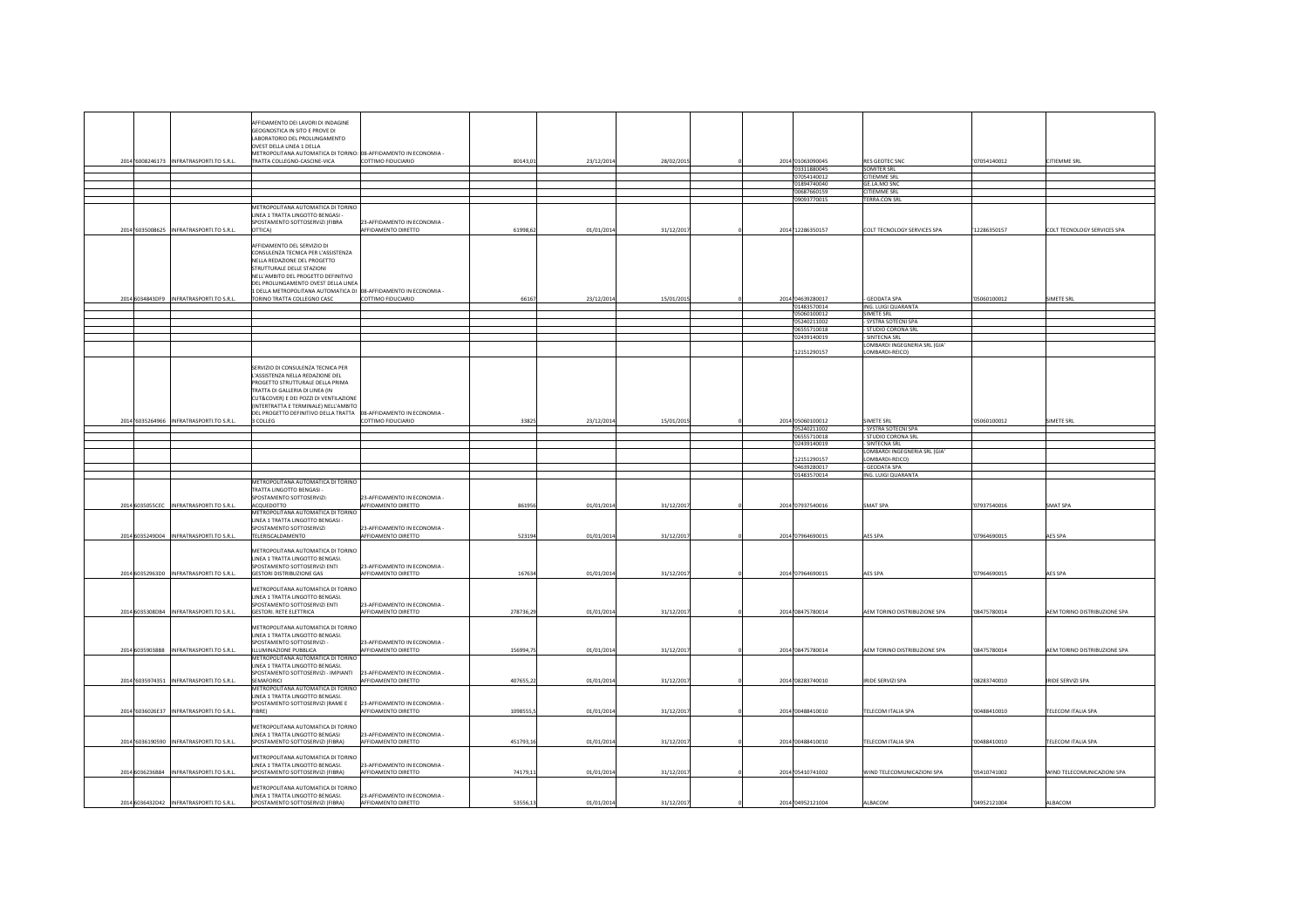|                                           | AFFIDAMENTO DEI LAVORI DI INDAGINE                                         |                                                     |          |            |            |                             |                                 |              |                              |
|-------------------------------------------|----------------------------------------------------------------------------|-----------------------------------------------------|----------|------------|------------|-----------------------------|---------------------------------|--------------|------------------------------|
|                                           | GEOGNOSTICA IN SITO E PROVE DI                                             |                                                     |          |            |            |                             |                                 |              |                              |
|                                           | LABORATORIO DEL PROLUNGAMENTO<br>OVEST DELLA LINEA 1 DELLA                 |                                                     |          |            |            |                             |                                 |              |                              |
|                                           | METROPOLITANA AUTOMATICA DI TORINO: 08-AFFIDAMENTO IN ECONOMIA -           |                                                     |          |            |            |                             |                                 |              |                              |
| 2014 '6008246173 INFRATRASPORTI.TO S.R.L. | TRATTA COLLEGNO-CASCINE-VICA                                               | COTTIMO FIDUCIARIO                                  | 80143,0  | 23/12/2014 | 28/02/2019 | 2014 01063090045            | <b>RES GEOTEC SNC</b>           | '07054140012 | CITIEMME SRL                 |
|                                           |                                                                            |                                                     |          |            |            | 03311880045                 | <b>SOMITER SRL</b>              |              |                              |
|                                           |                                                                            |                                                     |          |            |            | 07054140012                 | <b>CITIEMME SRL</b>             |              |                              |
|                                           |                                                                            |                                                     |          |            |            | 01894740040                 | GE.LA.MO SNO                    |              |                              |
|                                           |                                                                            |                                                     |          |            |            | 00687660159                 | <b>CITIEMME SRL</b>             |              |                              |
|                                           |                                                                            |                                                     |          |            |            | '09093770015                | TERRA.CON SRL                   |              |                              |
|                                           | METROPOLITANA AUTOMATICA DI TORINO                                         |                                                     |          |            |            |                             |                                 |              |                              |
|                                           | LINEA 1 TRATTA LINGOTTO BENGASI -                                          |                                                     |          |            |            |                             |                                 |              |                              |
|                                           | SPOSTAMENTO SOTTOSERVIZI (FIBRA                                            | 23-AFFIDAMENTO IN ECONOMIA -                        |          |            |            |                             |                                 |              |                              |
| 2014 '6035008625 INFRATRASPORTI.TO S.R.L. | OTTICA)                                                                    | AFFIDAMENTO DIRETTO                                 | 61998,6  | 01/01/2014 | 31/12/2017 | 2014 12286350157            | COLT TECNOLOGY SERVICES SPA     | '12286350157 | COLT TECNOLOGY SERVICES SPA  |
|                                           |                                                                            |                                                     |          |            |            |                             |                                 |              |                              |
|                                           | AFFIDAMENTO DEL SERVIZIO DI                                                |                                                     |          |            |            |                             |                                 |              |                              |
|                                           | CONSULENZA TECNICA PER L'ASSISTENZA                                        |                                                     |          |            |            |                             |                                 |              |                              |
|                                           | NELLA REDAZIONE DEL PROGETTO                                               |                                                     |          |            |            |                             |                                 |              |                              |
|                                           | STRUTTURALE DELLE STAZIONI                                                 |                                                     |          |            |            |                             |                                 |              |                              |
|                                           | NELL'AMBITO DEL PROGETTO DEFINITIVO<br>DEL PROLUNGAMENTO OVEST DELLA LINEA |                                                     |          |            |            |                             |                                 |              |                              |
|                                           | 1 DELLA METROPOLITANA AUTOMATICA DI 08-AFFIDAMENTO IN ECONOMIA -           |                                                     |          |            |            |                             |                                 |              |                              |
| 2014 6034843DF9 INFRATRASPORTI.TO S.R.L.  | TORINO TRATTA COLLEGNO CASC                                                | COTTIMO FIDUCIARIO                                  | 6616     | 23/12/2014 | 15/01/2015 | 2014 '04639280017           | <b>GEODATA SPA</b>              | '05060100012 | <b>IMETE SRL</b>             |
|                                           |                                                                            |                                                     |          |            |            | '01483570014                | ING. LUIGI QUARANTA             |              |                              |
|                                           |                                                                            |                                                     |          |            |            | 05060100012                 | <b>SIMETE SRL</b>               |              |                              |
|                                           |                                                                            |                                                     |          |            |            | '05240211002                | - SYSTRA SOTECNI SPA            |              |                              |
|                                           |                                                                            |                                                     |          |            |            | 06555710018                 | - STUDIO CORONA SRL             |              |                              |
|                                           |                                                                            |                                                     |          |            |            | 02439140019                 | SINTECNA SRL                    |              |                              |
|                                           |                                                                            |                                                     |          |            |            |                             | LOMBARDI INGEGNERIA SRL (GIA'   |              |                              |
|                                           |                                                                            |                                                     |          |            |            | 12151290157                 | LOMBARDI-REICO)                 |              |                              |
|                                           |                                                                            |                                                     |          |            |            |                             |                                 |              |                              |
|                                           | SERVIZIO DI CONSULENZA TECNICA PER                                         |                                                     |          |            |            |                             |                                 |              |                              |
|                                           | L'ASSISTENZA NELLA REDAZIONE DEL                                           |                                                     |          |            |            |                             |                                 |              |                              |
|                                           | PROGETTO STRUTTURALE DELLA PRIMA                                           |                                                     |          |            |            |                             |                                 |              |                              |
|                                           | TRATTA DI GALLERIA DI LINEA (IN<br>CUT&COVER) E DEI POZZI DI VENTILAZIONE  |                                                     |          |            |            |                             |                                 |              |                              |
|                                           | (INTERTRATTA E TERMINALE) NELL'AMBITO                                      |                                                     |          |            |            |                             |                                 |              |                              |
|                                           | DEL PROGETTO DEFINITIVO DELLA TRATTA 08-AFFIDAMENTO IN ECONOMIA -          |                                                     |          |            |            |                             |                                 |              |                              |
| 2014 '6035264966 INFRATRASPORTI.TO S.R.L. | 3 COLLEG                                                                   | COTTIMO FIDUCIARIO                                  | 3382     | 23/12/2014 | 15/01/2019 | 2014 05060100012            | SIMETE SRL                      | '05060100012 | <b>IMETE SRL</b>             |
|                                           |                                                                            |                                                     |          |            |            | '05240211002                | - SYSTRA SOTECNI SPA            |              |                              |
|                                           |                                                                            |                                                     |          |            |            | 06555710018                 | STUDIO CORONA SRL               |              |                              |
|                                           |                                                                            |                                                     |          |            |            | 02439140019                 | SINTECNA SRL                    |              |                              |
|                                           |                                                                            |                                                     |          |            |            |                             | LOMBARDI INGEGNERIA SRL (GIA'   |              |                              |
|                                           |                                                                            |                                                     |          |            |            | 12151290157                 | OMBARDI-REICO)<br>- GEODATA SPA |              |                              |
|                                           |                                                                            |                                                     |          |            |            | '04639280017<br>01483570014 | ING. LUIGI QUARANTA             |              |                              |
|                                           | METROPOLITANA AUTOMATICA DI TORINO                                         |                                                     |          |            |            |                             |                                 |              |                              |
|                                           | TRATTA LINGOTTO BENGASI-                                                   |                                                     |          |            |            |                             |                                 |              |                              |
|                                           | SPOSTAMENTO SOTTOSERVIZI:                                                  | 23-AFFIDAMENTO IN ECONOMIA -                        |          |            |            |                             |                                 |              |                              |
| 2014 6035055CEC INFRATRASPORTI.TO S.R.L.  |                                                                            | AFFIDAMENTO DIRETTO                                 |          | 01/01/201  | 31/12/2017 | 2014 '07937540016           | SMAT SPA                        | '07937540016 | SMAT SPA                     |
|                                           | ACQUEDOTTO                                                                 |                                                     | 86195    |            |            |                             |                                 |              |                              |
|                                           | METROPOLITANA AUTOMATICA DI TORINO                                         |                                                     |          |            |            |                             |                                 |              |                              |
|                                           | LINEA 1 TRATTA LINGOTTO BENGASI -                                          |                                                     |          |            |            |                             |                                 |              |                              |
|                                           | SPOSTAMENTO SOTTOSERVIZI                                                   | 23-AFFIDAMENTO IN ECONOMIA -                        |          |            |            |                             |                                 |              |                              |
| 2014 6035249D04 INFRATRASPORTI.TO S.R.L.  | TELERISCALDAMENTO                                                          | AFFIDAMENTO DIRETTO                                 | 523194   | 01/01/2014 | 31/12/2017 | 2014'07964690015            | AES SPA                         | 07964690015  | AES SPA                      |
|                                           |                                                                            |                                                     |          |            |            |                             |                                 |              |                              |
|                                           | METROPOLITANA AUTOMATICA DI TORINO                                         |                                                     |          |            |            |                             |                                 |              |                              |
|                                           | LINEA 1 TRATTA LINGOTTO BENGASI.<br>SPOSTAMENTO SOTTOSERVIZI ENTI          |                                                     |          |            |            |                             |                                 |              |                              |
| 2014 60352963D0 INFRATRASPORTI.TO S.R.L.  | <b>GESTORI DISTRIBUZIONE GAS</b>                                           | 23-AFFIDAMENTO IN ECONOMIA -<br>AFFIDAMENTO DIRETTO | 16763    |            |            | 2014'07964690015            | AES SPA                         | 07964690015  | AES SPA                      |
|                                           |                                                                            |                                                     |          | 01/01/201  | 31/12/2017 |                             |                                 |              |                              |
|                                           | METROPOLITANA AUTOMATICA DI TORINO                                         |                                                     |          |            |            |                             |                                 |              |                              |
|                                           | LINEA 1 TRATTA LINGOTTO BENGASI.                                           |                                                     |          |            |            |                             |                                 |              |                              |
|                                           | SPOSTAMENTO SOTTOSERVIZI ENTI                                              | 23-AFFIDAMENTO IN ECONOMIA -                        |          |            |            |                             |                                 |              |                              |
| 2014 6035308DB4 INFRATRASPORTI.TO S.R.L.  | <b>GESTORI. RETE ELETTRICA</b>                                             | AFFIDAMENTO DIRETTO                                 | 278736,2 | 01/01/201  | 31/12/2017 | 2014'08475780014            | AEM TORINO DISTRIBUZIONE SPA    | '08475780014 | AEM TORINO DISTRIBUZIONE SPA |
|                                           |                                                                            |                                                     |          |            |            |                             |                                 |              |                              |
|                                           | METROPOLITANA AUTOMATICA DI TORINC                                         |                                                     |          |            |            |                             |                                 |              |                              |
|                                           | LINEA 1 TRATTA LINGOTTO BENGASI.                                           |                                                     |          |            |            |                             |                                 |              |                              |
|                                           | SPOSTAMENTO SOTTOSERVIZI -                                                 | 23-AFFIDAMENTO IN ECONOMIA -                        |          |            |            |                             |                                 |              |                              |
| 2014 60359038B8 INFRATRASPORTI.TO S.R.L.  | ILLUMINAZIONE PUBBLICA                                                     | AFFIDAMENTO DIRETTO                                 | 156994,7 | 01/01/201  | 31/12/2017 | 2014 '08475780014           | AEM TORINO DISTRIBUZIONE SPA    | '08475780014 | AEM TORINO DISTRIBUZIONE SPA |
|                                           | METROPOLITANA AUTOMATICA DI TORINO                                         |                                                     |          |            |            |                             |                                 |              |                              |
|                                           | LINEA 1 TRATTA LINGOTTO BENGASI.<br>SPOSTAMENTO SOTTOSERVIZI - IMPIANTI    | 23-AFFIDAMENTO IN ECONOMIA -                        |          |            |            |                             |                                 |              |                              |
| 2014 '6035974351 INFRATRASPORTI.TO S.R.L. | SEMAFORICI                                                                 | AFFIDAMENTO DIRETTO                                 | 407655,2 | 01/01/201  | 31/12/2017 | 2014 '08283740010           | <b>IRIDE SERVIZI SPA</b>        | '08283740010 | RIDE SERVIZI SPA             |
|                                           | METROPOLITANA AUTOMATICA DI TORINO                                         |                                                     |          |            |            |                             |                                 |              |                              |
|                                           | LINEA 1 TRATTA LINGOTTO BENGASI.                                           |                                                     |          |            |            |                             |                                 |              |                              |
|                                           | SPOSTAMENTO SOTTOSERVIZI (RAME E                                           | 23-AFFIDAMENTO IN ECONOMIA -                        |          |            |            |                             |                                 |              |                              |
| 2014 '6036026E37 INFRATRASPORTI.TO S.R.L. | FIRRE)                                                                     | AFFIDAMENTO DIRETTO                                 | 1098555, | 01/01/201  | 31/12/2017 | 2014'00488410010            | TELECOM ITALIA SPA              | '00488410010 | TELECOM ITALIA SPA           |
|                                           |                                                                            |                                                     |          |            |            |                             |                                 |              |                              |
|                                           | METROPOLITANA AUTOMATICA DI TORINO                                         |                                                     |          |            |            |                             |                                 |              |                              |
| 2014 '6036190590 INFRATRASPORTI.TO S.R.L. | LINEA 1 TRATTA LINGOTTO BENGASI                                            | 23-AFFIDAMENTO IN ECONOMIA -<br>AFFIDAMENTO DIRETTO | 451793,1 | 01/01/2014 |            | 2014 '00488410010           | TELECOM ITALIA SPA              | '00488410010 | <b>FELECOM ITALIA SPA</b>    |
|                                           | SPOSTAMENTO SOTTOSERVIZI (FIBRA)                                           |                                                     |          |            | 31/12/2017 |                             |                                 |              |                              |
|                                           | METROPOLITANA AUTOMATICA DI TORINO                                         |                                                     |          |            |            |                             |                                 |              |                              |
|                                           | <b>INFA 1 TRATTA LINGOTTO RENGASL</b>                                      | 23-AFFIDAMENTO IN ECONOMIA                          |          |            |            |                             |                                 |              |                              |
| 2014 6036236B84 INFRATRASPORTI.TO S.R.L.  | SPOSTAMENTO SOTTOSERVIZI (FIBRA)                                           | AFFIDAMENTO DIRETTO                                 | 74179,1  | 01/01/201  | 31/12/2017 | 2014'05410741002            | WIND TELECOMUNICAZIONI SPA      | '05410741002 | WIND TELECOMUNICAZIONI SPA   |
|                                           |                                                                            |                                                     |          |            |            |                             |                                 |              |                              |
|                                           | METROPOLITANA AUTOMATICA DI TORINO                                         |                                                     |          |            |            |                             |                                 |              |                              |
| 2014 6036432D42 INFRATRASPORTI.TO S.R.L.  | <b>INFA 1 TRATTA LINGOTTO RENGASI</b><br>SPOSTAMENTO SOTTOSERVIZI (FIRRA)  | 23-AFFIDAMENTO IN ECONOMIA -<br>AFFIDAMENTO DIRETTO | 53556.1  | 01/01/2014 | 31/12/2017 | 2014 04952121004            | ALBACOM                         | '04952121004 | ALBACOM                      |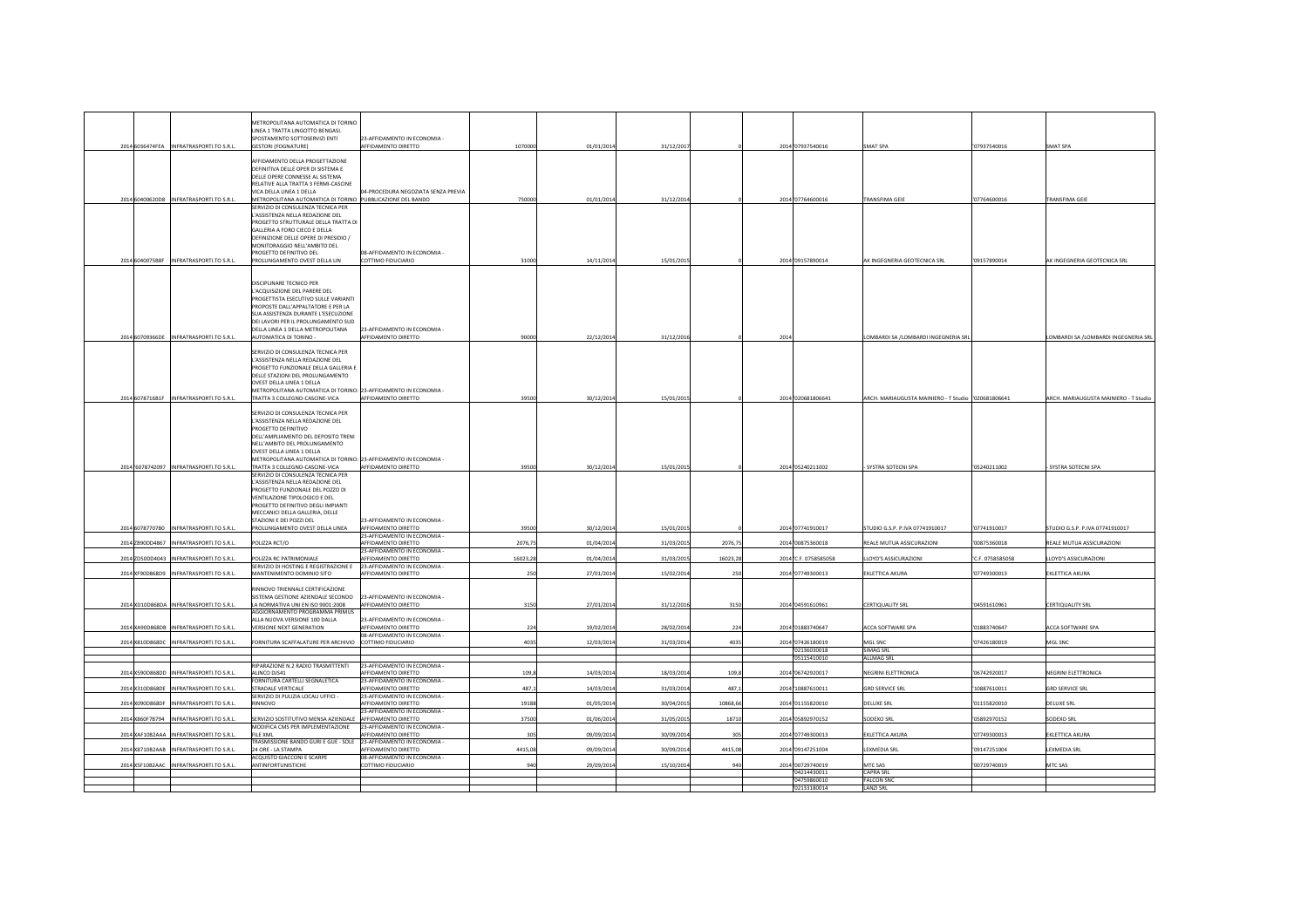|                                             | METROPOLITANA AUTOMATICA DI TORINC                                     |                                                     |         |            |            |          |      |                            |                                                     |                  |                                       |
|---------------------------------------------|------------------------------------------------------------------------|-----------------------------------------------------|---------|------------|------------|----------|------|----------------------------|-----------------------------------------------------|------------------|---------------------------------------|
|                                             | LINEA 1 TRATTA LINGOTTO BENGASI.                                       |                                                     |         |            |            |          |      |                            |                                                     |                  |                                       |
|                                             | SPOSTAMENTO SOTTOSERVIZI ENTI                                          | 23-AFFIDAMENTO IN ECONOMIA -                        |         |            |            |          |      |                            |                                                     |                  |                                       |
| 2014 6036474FEA INFRATRASPORTI.TO S.R.L.    | <b>GESTORI (FOGNATURE)</b>                                             | AFFIDAMENTO DIRETTO                                 | 107000  | 01/01/2014 | 31/12/2017 |          |      | 2014'07937540016           | SMAT SPA                                            | '07937540016     | MAT SPA                               |
|                                             |                                                                        |                                                     |         |            |            |          |      |                            |                                                     |                  |                                       |
|                                             | AFFIDAMENTO DELLA PROGETTAZIONE<br>DEFINITIVA DELLE OPER DI SISTEMA E  |                                                     |         |            |            |          |      |                            |                                                     |                  |                                       |
|                                             | DELLE OPERE CONNESSE AL SISTEMA                                        |                                                     |         |            |            |          |      |                            |                                                     |                  |                                       |
|                                             | RELATIVE ALLA TRATTA 3 FERMI-CASCINE                                   |                                                     |         |            |            |          |      |                            |                                                     |                  |                                       |
|                                             | VICA DELLA LINEA 1 DELLA                                               | 04-PROCEDURA NEGOZIATA SENZA PREVIA                 |         |            |            |          |      |                            |                                                     |                  |                                       |
| 2014 60400620D8 INFRATRASPORTI.TO S.R.L.    | METROPOLITANA AUTOMATICA DI TORINO PUBBLICAZIONE DEL BANDO             |                                                     | 75000   | 01/01/201  | 31/12/2014 |          |      | 2014 '07764600016          | TRANSFIMA GEIE                                      | '07764600016     | TRANSFIMA GEIE                        |
|                                             | SERVIZIO DI CONSULENZA TECNICA PER                                     |                                                     |         |            |            |          |      |                            |                                                     |                  |                                       |
|                                             | L'ASSISTENZA NELLA REDAZIONE DEL                                       |                                                     |         |            |            |          |      |                            |                                                     |                  |                                       |
|                                             | PROGETTO STRUTTURALE DELLA TRATTA DI<br>GALLERIA A FORO CIECO E DELLA  |                                                     |         |            |            |          |      |                            |                                                     |                  |                                       |
|                                             | DEFINIZIONE DELLE OPERE DI PRESIDIO /                                  |                                                     |         |            |            |          |      |                            |                                                     |                  |                                       |
|                                             | MONITORAGGIO NELL'AMBITO DEL                                           |                                                     |         |            |            |          |      |                            |                                                     |                  |                                       |
|                                             | PROGETTO DEFINITIVO DEL                                                | 08-AFFIDAMENTO IN ECONOMIA -                        |         |            |            |          |      |                            |                                                     |                  |                                       |
| 2014 6040075B8F INFRATRASPORTI.TO S.R.L.    | PROLUNGAMENTO OVEST DELLA LIN                                          | COTTIMO FIDUCIARIO                                  | 3100    | 14/11/2014 | 15/01/2015 |          |      | 2014'09157890014           | AK INGEGNERIA GEOTECNICA SRL                        | '09157890014     | AK INGEGNERIA GEOTECNICA SRL          |
|                                             |                                                                        |                                                     |         |            |            |          |      |                            |                                                     |                  |                                       |
|                                             |                                                                        |                                                     |         |            |            |          |      |                            |                                                     |                  |                                       |
|                                             | DISCIPLINARE TECNICO PER                                               |                                                     |         |            |            |          |      |                            |                                                     |                  |                                       |
|                                             | 'ACQUISIZIONE DEL PARERE DEL<br>PROGETTISTA ESECUTIVO SULLE VARIANTI   |                                                     |         |            |            |          |      |                            |                                                     |                  |                                       |
|                                             | PROPOSTE DALL'APPALTATORE E PER LA                                     |                                                     |         |            |            |          |      |                            |                                                     |                  |                                       |
|                                             | SUA ASSISTENZA DURANTE L'ESECUZIONE                                    |                                                     |         |            |            |          |      |                            |                                                     |                  |                                       |
|                                             | DEI LAVORI PER IL PROLUNGAMENTO SUD                                    |                                                     |         |            |            |          |      |                            |                                                     |                  |                                       |
|                                             | DELLA LINEA 1 DELLA METROPOLITANA                                      | 23-AFFIDAMENTO IN ECONOMIA -                        |         |            |            |          |      |                            |                                                     |                  |                                       |
| 2014 60709366DE INFRATRASPORTI.TO S.R.L.    | AUTOMATICA DI TORINO -                                                 | AFFIDAMENTO DIRETTO                                 | 9000    | 22/12/2014 | 31/12/201  |          | 2014 |                            | OMBARDI SA /LOMBARDI INGEGNERIA SRL                 |                  | LOMBARDI SA /LOMBARDI INGEGNERIA SRL  |
|                                             |                                                                        |                                                     |         |            |            |          |      |                            |                                                     |                  |                                       |
|                                             | SERVIZIO DI CONSULENZA TECNICA PER<br>L'ASSISTENZA NELLA REDAZIONE DEL |                                                     |         |            |            |          |      |                            |                                                     |                  |                                       |
|                                             | PROGETTO FUNZIONALE DELLA GALLERIA                                     |                                                     |         |            |            |          |      |                            |                                                     |                  |                                       |
|                                             | DELLE STAZIONI DEL PROLUNGAMENTO                                       |                                                     |         |            |            |          |      |                            |                                                     |                  |                                       |
|                                             | OVEST DELLA LINEA 1 DELLA                                              |                                                     |         |            |            |          |      |                            |                                                     |                  |                                       |
|                                             | METROPOLITANA AUTOMATICA DI TORINO: 23-AFFIDAMENTO IN ECONOMIA -       |                                                     |         |            |            |          |      |                            |                                                     |                  |                                       |
| 2014 6078716B1F INFRATRASPORTI.TO S.R.L.    | TRATTA 3 COLLEGNO-CASCINE-VICA                                         | AFFIDAMENTO DIRETTO                                 | 39500   | 30/12/2014 | 15/01/2015 |          |      | 2014 '020681806641         | ARCH. MARIAUGUSTA MAINIERO - T Studio '020681806641 |                  | ARCH. MARIAUGUSTA MAINIERO - T Studio |
|                                             |                                                                        |                                                     |         |            |            |          |      |                            |                                                     |                  |                                       |
|                                             | SERVIZIO DI CONSULENZA TECNICA PER                                     |                                                     |         |            |            |          |      |                            |                                                     |                  |                                       |
|                                             | L'ASSISTENZA NELLA REDAZIONE DEL<br>PROGETTO DEFINITIVO                |                                                     |         |            |            |          |      |                            |                                                     |                  |                                       |
|                                             |                                                                        |                                                     |         |            |            |          |      |                            |                                                     |                  |                                       |
|                                             | DELL'AMPLIAMENTO DEL DEPOSITO TRENI<br>NELL'AMBITO DEL PROLUNGAMENTO   |                                                     |         |            |            |          |      |                            |                                                     |                  |                                       |
|                                             | OVEST DELLA LINEA 1 DELLA                                              |                                                     |         |            |            |          |      |                            |                                                     |                  |                                       |
|                                             | METROPOLITANA AUTOMATICA DI TORINO: 23-AFFIDAMENTO IN ECONOMIA -       |                                                     |         |            |            |          |      |                            |                                                     |                  |                                       |
| 2014 '6078742097 INFRATRASPORTI.TO S.R.L.   | TRATTA 3 COLLEGNO-CASCINE-VICA                                         | AFFIDAMENTO DIRETTO                                 | 39500   | 30/12/2014 | 15/01/2019 |          |      | 2014 '05240211002          | SYSTRA SOTECNI SPA                                  | '05240211002     | SYSTRA SOTECNI SPA                    |
|                                             | SERVIZIO DI CONSULENZA TECNICA PER                                     |                                                     |         |            |            |          |      |                            |                                                     |                  |                                       |
|                                             | L'ASSISTENZA NELLA REDAZIONE DEL                                       |                                                     |         |            |            |          |      |                            |                                                     |                  |                                       |
|                                             | PROGETTO FUNZIONALE DEL POZZO DI                                       |                                                     |         |            |            |          |      |                            |                                                     |                  |                                       |
|                                             | VENTILAZIONE TIPOLOGICO E DEL                                          |                                                     |         |            |            |          |      |                            |                                                     |                  |                                       |
|                                             | PROGETTO DEFINITIVO DEGLI IMPIANTI<br>MECCANICI DELLA GALLERIA, DELLE  |                                                     |         |            |            |          |      |                            |                                                     |                  |                                       |
|                                             | STAZIONI E DEI POZZI DEL                                               | 23-AFFIDAMENTO IN ECONOMIA -                        |         |            |            |          |      |                            |                                                     |                  |                                       |
| 2014 60787707B0 INFRATRASPORTI.TO S.R.L.    | PROLUNGAMENTO OVEST DELLA LINEA                                        | AFFIDAMENTO DIRETTO                                 | 3950    | 30/12/2014 | 15/01/2015 |          |      | 2014 07741910017           | STUDIO G.S.P. P.IVA 07741910017                     | '07741910017     | STUDIO G.S.P. P.IVA 07741910017       |
|                                             |                                                                        | 23-AFFIDAMENTO IN ECONOMIA -                        |         |            |            |          |      |                            |                                                     |                  |                                       |
| 2014 ZB90DD4867 INFRATRASPORTI.TO S.R.L.    | POLIZZA RCT/O                                                          | AFFIDAMENTO DIRETTO                                 | 2076,7  | 01/04/2014 | 31/03/201  | 2076,75  |      | 2014 '00875360018          | REALE MUTUA ASSICURAZIONI                           | '00875360018     | REALE MUTUA ASSICURAZIONI             |
| INFRATRASPORTI.TO S.R.L.<br>2014 ZD50DD4043 | POLIZZA RC PATRIMONIALE                                                | 23-AFFIDAMENTO IN ECONOMIA -<br>AFFIDAMENTO DIRETTO | 16023,2 | 01/04/201  | 31/03/201  | 16023,28 |      | 2014 'C.F. 0758585058      | LOYD'S ASSICURAZIONI                                | 'C.F. 0758585058 | LOYD'S ASSICURAZIONI                  |
|                                             | SERVIZIO DI HOSTING E REGISTRAZIONE E                                  | 23-AFFIDAMENTO IN ECONOMIA -                        |         |            |            |          |      |                            |                                                     |                  |                                       |
| 2014 XF90D868D9 INFRATRASPORTI.TO S.R.L.    | MANTENIMENTO DOMINIO SITO                                              | AFFIDAMENTO DIRETTO                                 | 25      | 27/01/2014 | 15/02/201  | 250      |      | 2014 07749300013           | EKLETTICA AKURA                                     | 07749300013      | EKLETTICA AKURA                       |
|                                             |                                                                        |                                                     |         |            |            |          |      |                            |                                                     |                  |                                       |
|                                             | RINNOVO TRIENNALE CERTIFICAZIONE                                       |                                                     |         |            |            |          |      |                            |                                                     |                  |                                       |
|                                             | SISTEMA GESTIONE AZIENDALE SECONDO                                     | 23-AFFIDAMENTO IN ECONOMIA -                        |         |            |            |          |      |                            |                                                     |                  |                                       |
| 2014 XD10D868DA INFRATRASPORTI.TO S.R.L.    | LA NORMATIVA LINI EN ISO 9001:2008                                     | AFFIDAMENTO DIRETTO                                 | 315     | 27/01/2014 | 31/12/2016 | 3150     |      | 2014 '04591610961          | CERTIOUALITY SRI                                    | '04591610961     | CERTIOUALITY SRI                      |
|                                             | AGGIORNAMENTO PROGRAMMA PRIMUS                                         |                                                     |         |            |            |          |      |                            |                                                     |                  |                                       |
| 2014 XA90D868DB INFRATRASPORTI.TO S.R.L     | ALLA NUOVA VERSIONE 100 DALLA<br><b>VERSIONE NEXT GENERATION</b>       | 23-AFFIDAMENTO IN ECONOMIA -<br>AFFIDAMENTO DIRETTO | 22      |            | 28/02/201  | 226      |      | 2014 01883740647           | ACCA SOFTWARE SPA                                   | '01883740647     | <b>CCA SOFTWARE SPA</b>               |
|                                             |                                                                        | 08-AFFIDAMENTO IN ECONOMIA -                        |         | 19/02/2014 |            |          |      |                            |                                                     |                  |                                       |
| 2014 X810D868DC INFRATRASPORTI.TO S.R.L.    | FORNITURA SCAFFALATURE PER ARCHIVIO                                    | COTTIMO FIDUCIARIO                                  | 403     | 12/03/201  | 31/03/201  | 4035     |      | 2014 '07426180019          | MGL SNC                                             | 07426180019      | <b>AGL SNC</b>                        |
|                                             |                                                                        |                                                     |         |            |            |          |      | '02136030018               | <b>SIMAG SRL</b>                                    |                  |                                       |
|                                             |                                                                        |                                                     |         |            |            |          |      | '05115410010               | <b>ALLMAG SRL</b>                                   |                  |                                       |
|                                             | RIPARAZIONE N.2 RADIO TRASMITTENTI                                     | 23-AFFIDAMENTO IN ECONOMIA -                        |         |            |            |          |      |                            |                                                     |                  |                                       |
| 2014 X590D868DD INFRATRASPORTI.TO S.R.L.    | ALINCO DJS41<br>FORNITURA CARTELLI SEGNALETICA                         | AFFIDAMENTO DIRETTO<br>23-AFFIDAMENTO IN ECONOMIA - | 109,    | 14/03/2014 | 18/03/201  | 109,8    |      | 2014'06742920017           | NEGRINI ELETTRONICA                                 | '06742920017     | <b>VEGRINI ELETTRONICA</b>            |
| 2014 X310D868DE INFRATRASPORTI.TO S.R.L.    | <b>STRADALE VERTICALE</b>                                              | AFFIDAMENTO DIRETTO                                 | 487,    | 14/03/2014 | 31/03/201  | 487,1    |      | 2014 10887610011           | <b>GRD SERVICE SRL</b>                              | 10887610011      | GRD SERVICE SRL                       |
|                                             | SERVIZIO DI PULIZIA LOCALI UFFICI -                                    | 23-AFFIDAMENTO IN ECONOMIA -                        |         |            |            |          |      |                            |                                                     |                  |                                       |
| 2014 X090D868DF INFRATRASPORTI.TO S.R.L.    | RINNOVO                                                                | AFFIDAMENTO DIRETTO                                 | 1918    | 01/05/2014 | 30/04/2015 | 10868,66 |      | 2014'01155820010           | <b>DELUXE SRL</b>                                   | '01155820010     | DELUXE SRL                            |
|                                             |                                                                        | 23-AFFIDAMENTO IN ECONOMIA -                        |         |            |            |          |      |                            |                                                     |                  |                                       |
| 2014 X860F7B794<br>INFRATRASPORTI.TO S.R.L. | SERVIZIO SOSTITUTIVO MENSA AZIENDALE                                   | AFFIDAMENTO DIRETTO                                 | 3750    | 01/06/201  | 31/05/201  | 18710    |      | 2014'05892970152           | SODEXO SRL                                          | 05892970152      | ODEXO SRL                             |
| 2014 XAF10B2AAA INFRATRASPORTI.TO S.R.L.    | MODIFICA CMS PER IMPLEMENTAZIONE<br>FILE XML                           | 23-AFFIDAMENTO IN ECONOMIA -<br>AFFIDAMENTO DIRETTO | 30      | 09/09/2014 | 30/09/201  | 305      |      | 2014'07749300013           | EKLETTICA AKURA                                     | 07749300013      | <b>KLETTICA AKURA</b>                 |
|                                             | FRASMISSIONE BANDO GURI E GUE - SOLE                                   | 23-AFFIDAMENTO IN ECONOMIA -                        |         |            |            |          |      |                            |                                                     |                  |                                       |
| 2014 X8710B2AAB INFRATRASPORTI.TO S.R.L.    | 24 ORE - LA STAMPA                                                     | AFFIDAMENTO DIRETTO                                 | 4415,0  | 09/09/2014 | 30/09/2014 | 4415.08  |      | 2014'09147251004           | LEXMEDIA SRL                                        | '09147251004     | EXMEDIA SRL                           |
|                                             | ACQUISTO GIACCONI E SCARPE                                             | 08-AFFIDAMENTO IN ECONOMIA -                        |         |            |            |          |      |                            |                                                     |                  |                                       |
|                                             |                                                                        |                                                     |         |            | 15/10/201  | 940      |      | 2014 '00729740019          | <b>ITC SAS</b>                                      | 00729740019      | <b>ATC SAS</b>                        |
| 2014 X5F10B2AAC INFRATRASPORTI.TO S.R.L.    | <b>ANTINFORTUNISTICHE</b>                                              | COTTIMO FIDUCIARIO                                  | 94      | 29/09/201  |            |          |      |                            |                                                     |                  |                                       |
|                                             |                                                                        |                                                     |         |            |            |          |      | '04214430011               | <b>CAPRA SRL</b>                                    |                  |                                       |
|                                             |                                                                        |                                                     |         |            |            |          |      | 04759860010<br>02133180014 | <b>FALCON SNC</b><br><b>LANZI SRL</b>               |                  |                                       |